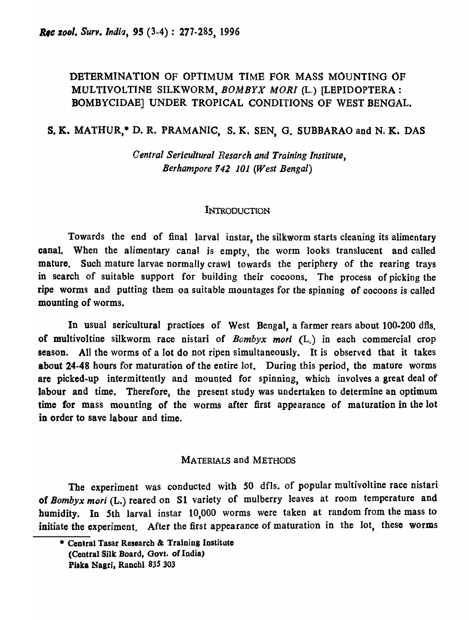# DETERMINATION OF OPTIMUM TIME FOR MASS MOUNTING OF MULTIVOLTINE SILKWORM, *BOMBYX MORI* (L.) [LEPIDOPTERA: BOMBYCIDAB] UNDER TROPICAL CONDITIONS OF WEST BENGAL.

### s. K. MA1'HUR,\* D. R. PRAMANIC, S. K. SEN, G. SUBBARAO and N. K. DAS

*Central Sericultural Resarch and Training Institute, Berhampore* 142 *101 (West Bengal)* 

#### **INTRODUCTION**

Towards the end of final larval instar, the silkworm starts cleaning its alimentary canal. When the alimentary canal is empty, the worm looks translucent and called mature. Such mature larvae normally crawl towards the periphery of the rearing trays in search of suitable support for building their cocoons. The process of picking the ripe worms and putting them on suitable mountages for the spinning of cocoons is called mounting of worms.

In usual sericultural practices of West Bengal, a farmer rears about 100·200 dfis. of multivoltine silkworm race nistari of *Bombyx mori* (L.) in each commercial crop season. All the worms of a lot do not ripen simultaneously. It is observed that it takes about 24-48 hours for maturation of the entire lot. During this period, the mature worms are picked-up intermittently and mounted for spinning, which involves a great deal of labour and time. Therefore, the present study was undertaken to determine an optimum time for mass mounting of the worms after first appearance of maturation in the lot in order to save labour and time.

### MATERIALS and METHODS

The experiment was conducted with 50 dfls. of popular multivoltine race nistari of *Bombyx mori* (L.) reared on SI variety of mulberry leaves at room temperature and humidity. In 5th larval instar 10,000 worms were taken at random from the mass to initiate the experiment. After the first appearance of maturation in the lot, these worms

<sup>\*</sup> Central Tasar Research & Training Institute (Central Silk Board, Oovt. of India) Piska Nagri, Ranchi 835 303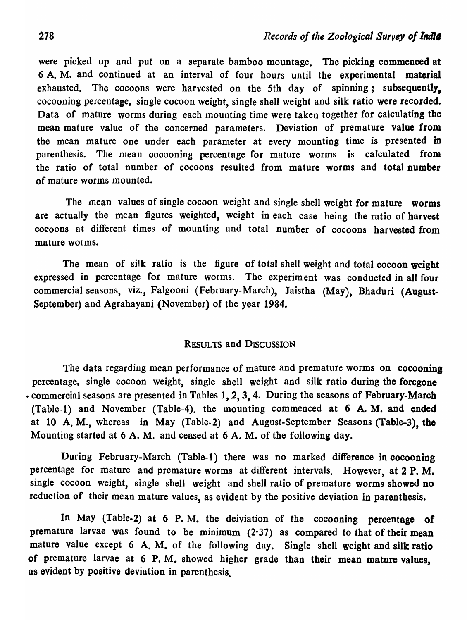were picked up and put on a separate bamboo mountage. The picking commenced at 6 A. M. and continued at an interval of four hours until the experimental material exhausted. The cocoons were harvested on the 5th day of spinning; subsequently. cocooning percentage, single cocoon weight, single shell weight and silk ratio were recorded. Data of mature worms during each mounting time were taken together for calculating the mean mature value of the concerned parameters. Deviation of premature value from the mean mature one under each parameter at every mounting time is presented in parenthesis. The mean cocooning percentage for mature worms is calculated from the ratio of total number of cocoons resulted from mature worms and total number of mature worms mounted.

The mean values of single cocoon weight and single shell weight for mature worms are actually the mean figures weighted, weight in each case being the ratio of harvest cocoons at different times of mounting and total number of cocoons harvested from mature worms.

The mean of silk ratio is the figure of total shell weight and total cocoon weight expressed in percentage for mature worms. The experiment was conducted in all four commercial seasons, viz., Falgooni (February-March), Jaistha (May), Bhaduri (August-September) and Agrahayani (November) of the year 1984.

#### RESULTS and DISCUSSION

The data regarding mean performance of mature and premature worms on cocooning percentage, single cocoon weight, single shell weight and silk ratio during the foregone • commercial seasons are presented in Tables 1, 2, 3, 4. During the seasons of February-March (Table-I) and November (Table-4). the mounting commenced at 6 A. M. and ended at 10 A. M., whereas in May (Table-2) and August-September Seasons (Table-3), the Mounting started at 6 A. M. and ceased at 6 A. M. of the following day.

During February-March (Table-I) there was no marked difference in cocooning percentage for mature and premature worms at different intervals. However, at 2 P. M. single cocoon weight, single shell weight and shell ratio of premature worms showed no reduction of their mean mature values, as evident by the positive deviation in parenthesis.

In May (Table-2) at 6 P.M. the deiviation of the cocooning percentage of premature larvae was found to be minimum  $(2.37)$  as compared to that of their mean mature value except 6 A. M. of the following day. Single shell weight and silk ratio of premature larvae at 6 P. M. showed higher grade than their mean mature values, as evident by positive deviation in parenthesis.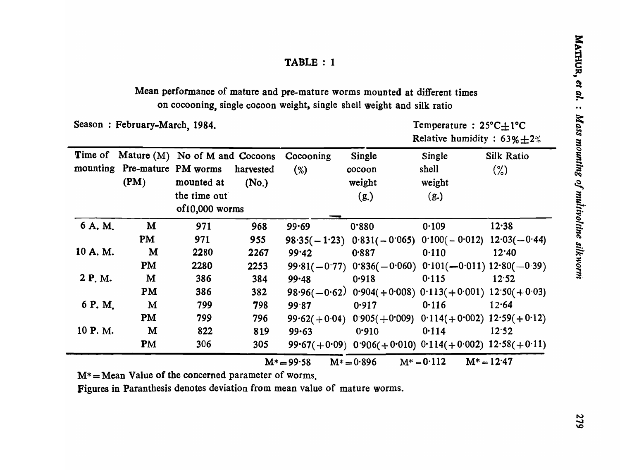## Mean performance of mature and pre-mature worms mounted at different times on cocooning, single cocoon weight, single shell weight and silk ratio

Season : February-March, 1984.

Temperature: 25°C $\pm$ 1°C Relative humidity :  $63\% \pm 2\%$ 

|         |                              | Time of Mature (M) No of M and Cocoons |           | Cocooning      | Single                                                        | Single                                         | <b>Silk Ratio</b> |
|---------|------------------------------|----------------------------------------|-----------|----------------|---------------------------------------------------------------|------------------------------------------------|-------------------|
|         | mounting Pre-mature PM worms |                                        | harvested | (%)            | cocoon                                                        | shell                                          | $(\%)$            |
|         | (PM)                         | mounted at                             | (No.)     |                | weight                                                        | weight                                         |                   |
|         |                              | the time out                           |           |                | (g.)                                                          | (g.)                                           |                   |
|         |                              | of10,000 worms                         |           |                |                                                               |                                                |                   |
| 6 A. M. | M                            | 971                                    | 968       | 99.69          | 0.880                                                         | 0.109                                          | $12 - 38$         |
|         | <b>PM</b>                    | 971                                    | 955       |                | $98.35(-1.23)$ $0.831(-0.065)$ $0.100(-0.012)$ $12.03(-0.44)$ |                                                |                   |
| 10 A.M. | M                            | 2280                                   | 2267      | 99.42          | 0.887                                                         | 0.110                                          | 12:40             |
|         | <b>PM</b>                    | 2280                                   | 2253      |                | $99.81(-0.77)$ $0.836(-0.060)$ $0.101(-0.011)$ $12.80(-0.39)$ |                                                |                   |
| 2 P.M.  | M                            | 386                                    | 384       | 99.48          | 0.918                                                         | 0.115                                          | 12.52             |
|         | PM                           | 386                                    | 382       |                | 98.96(-0.62) 0.904(+0.008) 0.113(+0.001) 12:50(+0.03)         |                                                |                   |
| 6 P.M.  | M                            | 799                                    | 798       | 99.87          | 0.917                                                         | 0.116                                          | 12.64             |
|         | <b>PM</b>                    | 799                                    | 796       | $99.62(+0.04)$ |                                                               | $0.905(+0.009)$ $0.114(+0.002)$ $12.59(+0.12)$ |                   |
| 10 P.M. | M                            | 822                                    | 819       | 99.63          | 0.910                                                         | 0.114                                          | 12.52             |
|         | <b>PM</b>                    | 306                                    | 305       |                | 99.67(+0.09) 0.906(+0.010) 0.114(+0.002) $12.58(+0.11)$       |                                                |                   |
|         |                              |                                        |           | $M^* = 99.58$  | $M^* = 0.896$                                                 | $M^* = 0.112$                                  | $M^* = 12.47$     |

 $M^*$  = Mean Value of the concerned parameter of worms.

Figures in Paranthesis denotes deviation from mean value of mature worms.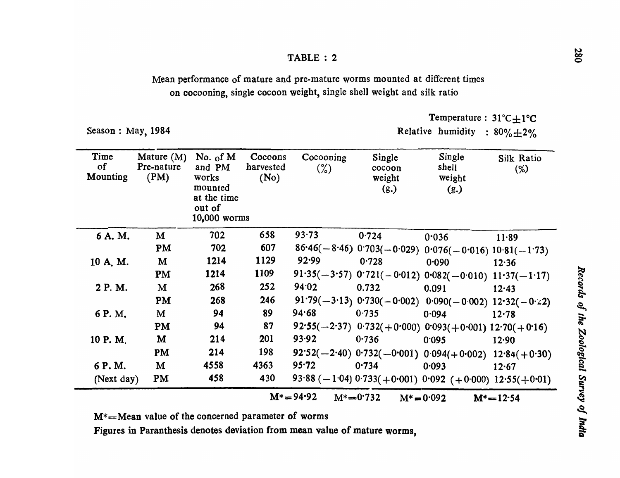Mean performance of mature and pre-mature worms mounted at different times on cocooning, single cocoon weight, single shell weight and silk ratio

Season: May, 1984

Temperature: 31°C $\pm$ 1°C

Relative humidity :  $80\% \pm 2\%$ 

| Time<br><sub>of</sub><br>Mounting | Mature $(M)$<br>Pre-nature<br>(PM) | No. of $M$<br>and PM<br>works<br>mounted<br>at the time<br>out of<br>10,000 worms | Cocoons<br>harvested<br>(No) | Cocooning<br>$(\%)$ | Single<br>cocoon<br>weight<br>(g.) | Single<br>shell<br>weight<br>(g.)                             | Silk Ratio<br>$(\%)$ |
|-----------------------------------|------------------------------------|-----------------------------------------------------------------------------------|------------------------------|---------------------|------------------------------------|---------------------------------------------------------------|----------------------|
| 6 A.M.                            | M                                  | 702                                                                               | 658                          | 93.73               | 0.724                              | 0.036                                                         | 11.89                |
|                                   | PM                                 | 702                                                                               | 607                          |                     |                                    | $86.46(-8.46)$ 0.703(-0.029) 0.076(-0.016) 10.81(-1.73)       |                      |
| 10 A.M.                           | M                                  | 1214                                                                              | 1129                         | 92.99               | 0.728                              | 0.090                                                         | 12.36                |
|                                   | PM                                 | 1214                                                                              | 1109                         |                     |                                    | 91.35(-3.57) $0.721(-0.012)$ $0.082(-0.010)$ $11.37(-1.17)$   |                      |
| 2 P.M.                            | M                                  | 268                                                                               | 252                          | 94.02               | 0.732                              | 0.091                                                         | 12.43                |
|                                   | PM                                 | 268                                                                               | 246                          |                     |                                    | $91.79(-3.13)$ $0.730(-0.002)$ $0.090(-0.002)$ $12.32(-0.2)$  |                      |
| 6 P.M.                            | M                                  | 94                                                                                | 89                           | 94.68               | 0.735                              | 0.094                                                         | 12.78                |
|                                   | <b>PM</b>                          | 94                                                                                | 87                           |                     |                                    | 92.55(-2.37) $0.732(+0.000)$ $0.093(+0.001)$ $12.70(+0.16)$   |                      |
| 10 P.M.                           | M                                  | 214                                                                               | 201                          | 93.92               | 0.736                              | 0.095                                                         | 12.90                |
|                                   | PM                                 | 214                                                                               | 198                          |                     |                                    | $92.52(-2.40)$ $0.732(-0.001)$ $0.094(+0.002)$ $12.84(+0.30)$ |                      |
| 6 P.M.                            | M                                  | 4558                                                                              | 4363                         | $95 - 72$           | 0.734                              | 0.093                                                         | 12.67                |
| (Next day)                        | <b>PM</b>                          | 458                                                                               | 430                          |                     |                                    | 93.88 (-1.04) 0.733 (+0.001) 0.092 (+0.000) 12.55 (+0.01)     |                      |
|                                   |                                    |                                                                                   |                              | $M^* = 94.92$       | $M^* = 0.732$                      | $M^* = 0.092$                                                 | $M^* = 12.54$        |

M\*==Mean value of the concerned parameter of worms

Figures in Paranthesis denotes deviation from mean value of mature worms,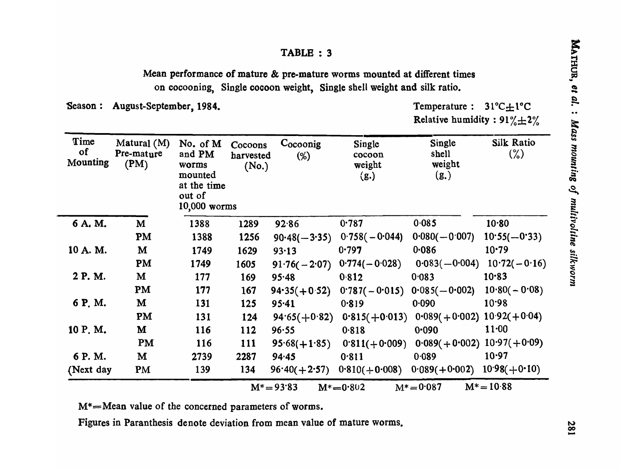Mean performance of mature & pre-mature worms mounted at different times on cocooning, Single cocoon weight, Single shell weight and silk ratio.

Season: August-September, 1984. Temperature : 31<sup>o</sup>

Temperature :  $31^{\circ}C \pm 1^{\circ}C$ Relative humidity:  $91\% \pm 2\%$ 

| Time<br>of<br>Mounting | Matural (M)<br>Pre-mature<br>(PM) | No. of M<br>and PM<br>worms<br>mounted<br>at the time<br>out of<br>10,000 worms | Cocoons<br>harvested<br>(No.) | Cocoonig<br>$(\%)$ | Single<br>cocoon<br>weight<br>(g.) | Single<br>shell<br>weight<br>(g.) | <b>Silk Ratio</b><br>$(\%)$ |
|------------------------|-----------------------------------|---------------------------------------------------------------------------------|-------------------------------|--------------------|------------------------------------|-----------------------------------|-----------------------------|
| 6 A.M.                 | M                                 | 1388                                                                            | 1289                          | 92.86              | 0.787                              | 0.085                             | 10.80                       |
|                        | PM                                | 1388                                                                            | 1256                          | $90.48(-3.35)$     | $0.758(-0.044)$                    | $0.080(-0.007)$                   | $10:55(-0:33)$              |
| 10 A.M.                | M                                 | 1749                                                                            | 1629                          | 93.13              | 0.797                              | 0.086                             | 10.79                       |
|                        | PM                                | 1749                                                                            | 1605                          | $91.76(-2.07)$     | $0.774(-0.028)$                    | $0.083(-0.004)$                   | $10.72(-0.16)$              |
| 2 P.M.                 | M                                 | 177                                                                             | 169                           | 95.48              | 0.812                              | 0.083                             | 10.83                       |
|                        | PM                                | 177                                                                             | 167                           | $94.35(+0.52)$     | $0.787(-0.015)$                    | $0.085(-0.002)$                   | $10.80(-0.08)$              |
| 6 P.M.                 | M                                 | 131                                                                             | 125                           | 95.41              | 0.819                              | 0.090                             | 10.98                       |
|                        | PM                                | 131                                                                             | 124                           | $94.65(+0.82)$     | $0.815(+0.013)$                    | $0.089(+0.002)$ 10.92(+0.04)      |                             |
| 10 P.M.                | M                                 | <b>116</b>                                                                      | 112                           | 96.55              | 0.818                              | 0.090                             | 11:00                       |
|                        | <b>PM</b>                         | 116                                                                             | <b>111</b>                    | $95.68(+1.85)$     | $0.811(+0.009)$                    | $0.089(+0.002)$ $10.97(+0.09)$    |                             |
| 6 P.M.                 | M                                 | 2739                                                                            | 2287                          | 94.45              | 0.811                              | 0.089                             | 10.97                       |
| (Next day              | <b>PM</b>                         | 139                                                                             | 134                           | $96.40(+2.57)$     | $0.810(+0.008)$                    | $0.089(+0.002)$                   | $10.98(+0.10)$              |
|                        |                                   |                                                                                 |                               | $M^* = 93.83$      | $M^* = 0.802$                      | $M^* = 0.087$                     | $M^* = 10.88$               |

M\*=Mean value of the concerned parameters of worms.

Figures in Paranthesis denote deviation from mean value of mature worms\_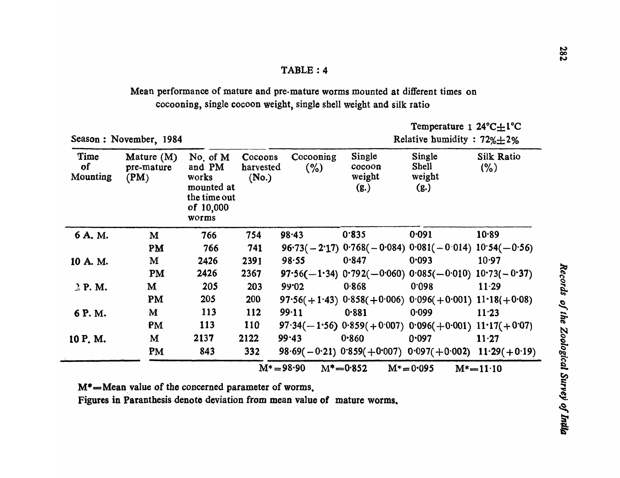Mean performance of mature and pre-mature worms mounted at different times on cocooning, single cocoon weight, single shell weight and silk ratio

| Season: November, 1984 |                                    |                                                                                   |                               |                  |                                    | Relative humidity : $72\% \pm 2\%$                            |                           |  |
|------------------------|------------------------------------|-----------------------------------------------------------------------------------|-------------------------------|------------------|------------------------------------|---------------------------------------------------------------|---------------------------|--|
| Time<br>of<br>Mounting | Mature $(M)$<br>pre-mature<br>(PM) | No. of $M$<br>and PM<br>works<br>mounted at<br>the time out<br>of 10,000<br>worms | Cocoons<br>harvested<br>(No.) | Cocooning<br>(%) | Single<br>cocoon<br>weight<br>(g.) | Single<br><b>Shell</b><br>weight<br>(g.)                      | <b>Silk Ratio</b><br>(% ) |  |
| 6 A.M.                 | M                                  | 766                                                                               | 754                           | 98.43            | 0.835                              | 0.091                                                         | 10.89                     |  |
|                        | PM                                 | 766                                                                               | 741                           |                  |                                    | $96.73(-2.17)$ $0.768(-0.084)$ $0.081(-0.014)$ $10.54(-0.56)$ |                           |  |
| 10 A. M.               | M                                  | 2426                                                                              | 2391                          | 98.55            | 0.847                              | 0.093                                                         | 10.97                     |  |
|                        | PM                                 | 2426                                                                              | 2367                          |                  |                                    | $97.56(-1.34)$ $0.792(-0.060)$ $0.085(-0.010)$ $10.73(-0.37)$ |                           |  |
| 3P.M.                  | M                                  | 205                                                                               | 203                           | 99.02            | 0.868                              | 0.098                                                         | 11.29                     |  |
|                        | PM                                 | 205                                                                               | 200                           |                  |                                    | $97.56(+1.43)$ $0.858(+0.006)$ $0.096(+0.001)$ $11.18(+0.08)$ |                           |  |
| 6 P.M.                 | M                                  | <b>113</b>                                                                        | 112                           | 99.11            | 0.881                              | 0.099                                                         | 11.23                     |  |
|                        | PM                                 | <b>113</b>                                                                        | <b>110</b>                    |                  |                                    | $97.34(-1.56)$ $0.859(+0.007)$ $0.096(+0.001)$ $11.17(+0.07)$ |                           |  |
| 10 P.M.                | M                                  | 2137                                                                              | 2122                          | 99.43            | 0.860                              | 0.097                                                         | $11 - 27$                 |  |
|                        | <b>PM</b>                          | 843                                                                               | 332                           |                  |                                    | $98.69(-0.21)$ $0.859(+0.007)$ $0.097(+0.002)$ $11.29(+0.19)$ |                           |  |
|                        |                                    |                                                                                   |                               | $M^* = 98.90$    | $M^* = 0.852$                      | $M^* = 0.095$                                                 | $M^* = 11 \cdot 10$       |  |

 $M^*$ =Mean value of the concerned parameter of worms.

Figures in Paranthesis denote deviation from mean value of mature worms.

Temperature I 24°C $\pm$ 1°C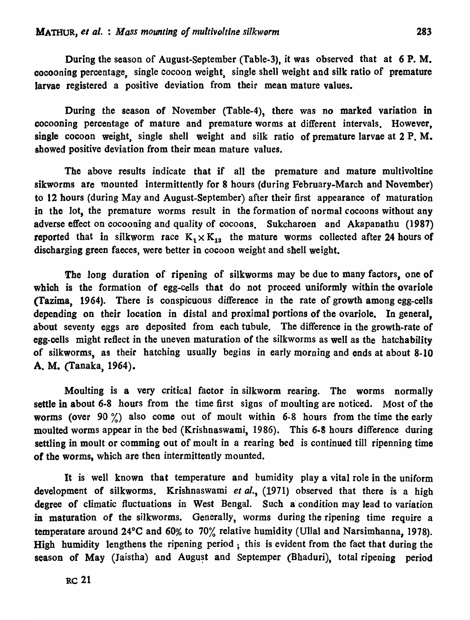During the season of August-September (Table-3), it was observed that at 6 P. M. cocooning percentage, single Cocoon weight, single shell weight and silk ratio of premature larvae registered a positive deviation from their mean mature values.

During the season of November (Table-4), there was no marked variation in cocooning percentage of mature and premature worms at different intervals. However, single cocoon weight, single shell weight and silk ratio of premature larvae at 2 P.M. showed positive deviation from their mean mature values.

The above results indicate that if all the premature and mature multivoltine sikworms are mounted intermittently for 8 hours (during February-March and November) to 12 hours (during May and August-September) after their first appearance of maturation in the lot, the premature worms result in the formation of normal cocoons without any adverse effect on cocooning and quality of cocoons. Sukcharoen and Akapanathu (1987) reported that in silkworm race  $K_1 \times K_{13}$  the mature worms collected after 24 hours of discharging green faeces, were better in cocoon weight and shell weight.

The long duration of ripening of silkworms may be due to many factors, one of which is the formation of egg-cells that do not proceed uniformly within the ovariole (Tazima, 1964). There is conspicuous difference in the rate of growth among egg-cells depending on their location in distal and proximal portions of the ovariole. In general, about seventy eggs are deposited from each tubule. The difference in the growth-rate of egg-cells might reflect in the uneven maturation of the silkworms as well as the hatchability of silkworms, as their hatching usually begins in early morning and ends at about 8-10 A. M. (Tanaka, 1964).

Moulting is a very critical factor in silkworm rearing. The worms normally settle in about 6-8 hours from the time first signs of moulting are noticed. Most of the worms (over 90 %) also come out of moult within 6-8 hours from the time the early moulted worms appear in the bed (Krishnaswami, 1986). This 6·8 hours difference during settling in moult or comming out of moult in a rearing bed *is* continued till ripenning time of the worms. which are then intermittently mounted.

It is well known that temperature and humidity playa vital role in the uniform development of silkworms. Krishnaswami *et al.,* (1971) observed that there is a high degree of climatic fluctuations in West Bengal. Such a condition may lead to variation in maturation of the silkworms. Generally, worms during the ripening time require a temperature around 24°C and 60% to 70% relative humidity (Ullal and Narsimhanna, 1978). High humidity lengthens the ripening period; this is evident from the fact that during the season of May (Jaistha) and August and Septemper (Bhaduri), total ripening period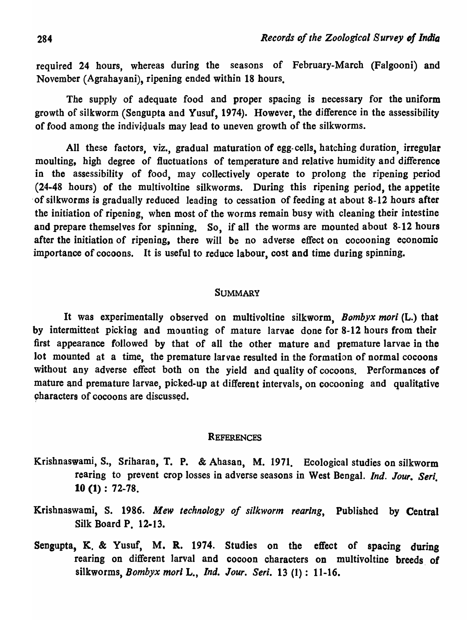required 24 hours, whereas during the seasons of February-March (Falgooni) and November (Agrahayani), ripening ended within 18 hours.

The supply of adequate food and proper spacing is necessary for the uniform growth of silkworm (Sengupta and Yusuf, 1974). However, the difference in the assessibility of food among the individuals may lead to uneven growth of the silkworms.

All these factors, *viz.,* gradual maturation of egg- cells, hatching duration, irregular moulting, high degree of fluctuations of temperature and relative humidity and difference in the assessibility of food, may collectively operate to prolong the ripening period  $(24-48$  hours) of the multivoltine silkworms. During this ripening period, the appetite . of silkworms is gradually reduced leading to cessation of feeding at about 8-12 hours after the initiation of ripening, when most of the worms remain busy with cleaning their intestine and prepare themselves for spinning. So, if all the worms are mounted about 8-12 hours after the initiation of ripening, there will be no adverse effect on cocooning economic importance of cocoons. It is useful to reduce labour, cost and time during spinning.

### **SUMMARY**

It was experimentally observed on multivoltine silkworm, *Bombyx mori* (L.) that by intermittent picking and mounting of mature larvae done for 8-12 hours from their first appearance followed by that of all the other mature and premature larvae in the lot mounted at a time, the premature larvae resulted in the formation of normal cocoons without any adverse effect both on the yield and quality of cocoons. Performances of mature and premature larvae, picked-up at different intervals, on cocooning and qualitative 9haracters of cocoons are discussed.

#### **REFERENCES**

- Krishnaswami, *S.,* Sriharan, T. P. & Abasan, M. 1971. Ecological studies on silkworm rearing to prevent crop losses in adverse seasons in West Bengal. *Ind. Jour. Seri.* 10 (1) : 72-78.
- Krishnaswami, S. 1986. *Mew technology of silkworm rearing,* Published by Central Silk Board p. 12·13.
- Sengupta, K. & Yusuf, M. R. 1974. Studies on the effect of spacing during rearing on different larval and cocoon characters on multivoltine breeds of silkworms, *Bomb)'x mort* L., *Ind. Jour. Seri.* 13 (1): 11-16.